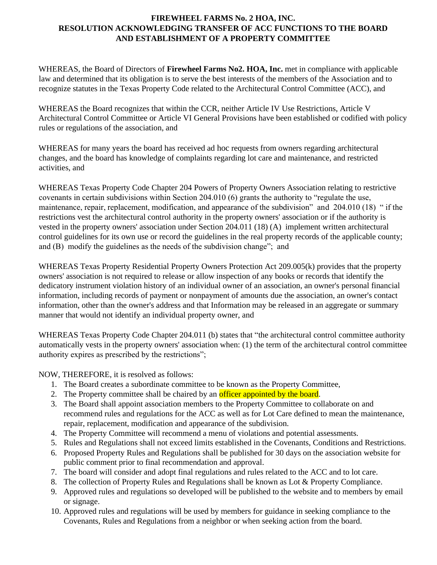## **FIREWHEEL FARMS No. 2 HOA, INC. RESOLUTION ACKNOWLEDGING TRANSFER OF ACC FUNCTIONS TO THE BOARD AND ESTABLISHMENT OF A PROPERTY COMMITTEE**

WHEREAS, the Board of Directors of **Firewheel Farms No2. HOA, Inc.** met in compliance with applicable law and determined that its obligation is to serve the best interests of the members of the Association and to recognize statutes in the Texas Property Code related to the Architectural Control Committee (ACC), and

WHEREAS the Board recognizes that within the CCR, neither Article IV Use Restrictions, Article V Architectural Control Committee or Article VI General Provisions have been established or codified with policy rules or regulations of the association, and

WHEREAS for many years the board has received ad hoc requests from owners regarding architectural changes, and the board has knowledge of complaints regarding lot care and maintenance, and restricted activities, and

WHEREAS Texas Property Code Chapter 204 Powers of Property Owners Association relating to restrictive covenants in certain subdivisions within Section 204.010 (6) grants the authority to "regulate the use, maintenance, repair, replacement, modification, and appearance of the subdivision" and 204.010 (18) " if the restrictions vest the architectural control authority in the property owners' association or if the authority is vested in the property owners' association under Section [204.011](http://www.statutes.legis.state.tx.us/GetStatute.aspx?Code=PR&Value=204.011) (18) (A) implement written architectural control guidelines for its own use or record the guidelines in the real property records of the applicable county; and (B) modify the guidelines as the needs of the subdivision change"; and

WHEREAS Texas Property Residential Property Owners Protection Act 209.005(k) provides that the property owners' association is not required to release or allow inspection of any books or records that identify the dedicatory instrument violation history of an individual owner of an association, an owner's personal financial information, including records of payment or nonpayment of amounts due the association, an owner's contact information, other than the owner's address and that Information may be released in an aggregate or summary manner that would not identify an individual property owner, and

WHEREAS Texas Property Code Chapter 204.011 (b) states that "the architectural control committee authority automatically vests in the property owners' association when: (1) the term of the architectural control committee authority expires as prescribed by the restrictions";

NOW, THEREFORE, it is resolved as follows:

- 1. The Board creates a subordinate committee to be known as the Property Committee,
- 2. The Property committee shall be chaired by an **officer appointed by the board**.
- 3. The Board shall appoint association members to the Property Committee to collaborate on and recommend rules and regulations for the ACC as well as for Lot Care defined to mean the maintenance, repair, replacement, modification and appearance of the subdivision.
- 4. The Property Committee will recommend a menu of violations and potential assessments.
- 5. Rules and Regulations shall not exceed limits established in the Covenants, Conditions and Restrictions.
- 6. Proposed Property Rules and Regulations shall be published for 30 days on the association website for public comment prior to final recommendation and approval.
- 7. The board will consider and adopt final regulations and rules related to the ACC and to lot care.
- 8. The collection of Property Rules and Regulations shall be known as Lot & Property Compliance.
- 9. Approved rules and regulations so developed will be published to the website and to members by email or signage.
- 10. Approved rules and regulations will be used by members for guidance in seeking compliance to the Covenants, Rules and Regulations from a neighbor or when seeking action from the board.